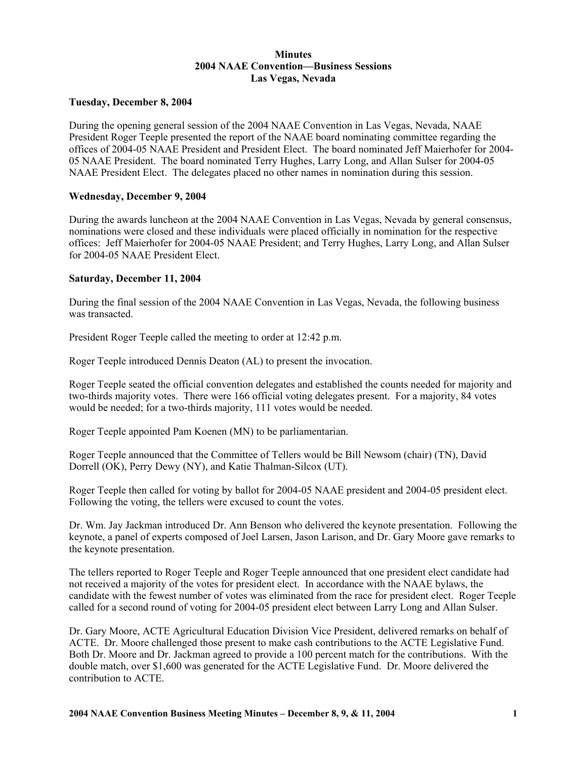# **Minutes 2004 NAAE Convention—Business Sessions Las Vegas, Nevada**

## **Tuesday, December 8, 2004**

During the opening general session of the 2004 NAAE Convention in Las Vegas, Nevada, NAAE President Roger Teeple presented the report of the NAAE board nominating committee regarding the offices of 2004-05 NAAE President and President Elect. The board nominated Jeff Maierhofer for 2004- 05 NAAE President. The board nominated Terry Hughes, Larry Long, and Allan Sulser for 2004-05 NAAE President Elect. The delegates placed no other names in nomination during this session.

### **Wednesday, December 9, 2004**

During the awards luncheon at the 2004 NAAE Convention in Las Vegas, Nevada by general consensus, nominations were closed and these individuals were placed officially in nomination for the respective offices: Jeff Maierhofer for 2004-05 NAAE President; and Terry Hughes, Larry Long, and Allan Sulser for 2004-05 NAAE President Elect.

### **Saturday, December 11, 2004**

During the final session of the 2004 NAAE Convention in Las Vegas, Nevada, the following business was transacted.

President Roger Teeple called the meeting to order at 12:42 p.m.

Roger Teeple introduced Dennis Deaton (AL) to present the invocation.

Roger Teeple seated the official convention delegates and established the counts needed for majority and two-thirds majority votes. There were 166 official voting delegates present. For a majority, 84 votes would be needed; for a two-thirds majority, 111 votes would be needed.

Roger Teeple appointed Pam Koenen (MN) to be parliamentarian.

Roger Teeple announced that the Committee of Tellers would be Bill Newsom (chair) (TN), David Dorrell (OK), Perry Dewy (NY), and Katie Thalman-Silcox (UT).

Roger Teeple then called for voting by ballot for 2004-05 NAAE president and 2004-05 president elect. Following the voting, the tellers were excused to count the votes.

Dr. Wm. Jay Jackman introduced Dr. Ann Benson who delivered the keynote presentation. Following the keynote, a panel of experts composed of Joel Larsen, Jason Larison, and Dr. Gary Moore gave remarks to the keynote presentation.

The tellers reported to Roger Teeple and Roger Teeple announced that one president elect candidate had not received a majority of the votes for president elect. In accordance with the NAAE bylaws, the candidate with the fewest number of votes was eliminated from the race for president elect. Roger Teeple called for a second round of voting for 2004-05 president elect between Larry Long and Allan Sulser.

Dr. Gary Moore, ACTE Agricultural Education Division Vice President, delivered remarks on behalf of ACTE. Dr. Moore challenged those present to make cash contributions to the ACTE Legislative Fund. Both Dr. Moore and Dr. Jackman agreed to provide a 100 percent match for the contributions. With the double match, over \$1,600 was generated for the ACTE Legislative Fund. Dr. Moore delivered the contribution to ACTE.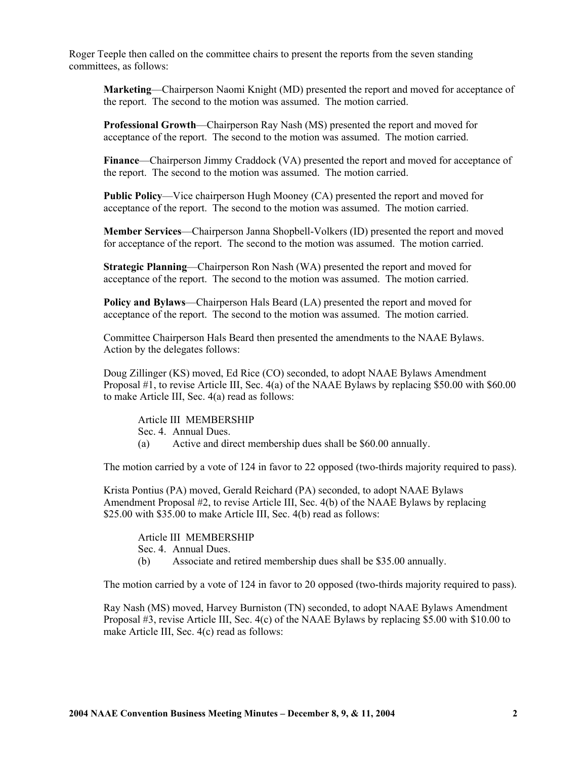Roger Teeple then called on the committee chairs to present the reports from the seven standing committees, as follows:

**Marketing**—Chairperson Naomi Knight (MD) presented the report and moved for acceptance of the report. The second to the motion was assumed. The motion carried.

**Professional Growth**—Chairperson Ray Nash (MS) presented the report and moved for acceptance of the report. The second to the motion was assumed. The motion carried.

**Finance**—Chairperson Jimmy Craddock (VA) presented the report and moved for acceptance of the report. The second to the motion was assumed. The motion carried.

**Public Policy**—Vice chairperson Hugh Mooney (CA) presented the report and moved for acceptance of the report. The second to the motion was assumed. The motion carried.

**Member Services**—Chairperson Janna Shopbell-Volkers (ID) presented the report and moved for acceptance of the report. The second to the motion was assumed. The motion carried.

**Strategic Planning**—Chairperson Ron Nash (WA) presented the report and moved for acceptance of the report. The second to the motion was assumed. The motion carried.

**Policy and Bylaws**—Chairperson Hals Beard (LA) presented the report and moved for acceptance of the report. The second to the motion was assumed. The motion carried.

Committee Chairperson Hals Beard then presented the amendments to the NAAE Bylaws. Action by the delegates follows:

Doug Zillinger (KS) moved, Ed Rice (CO) seconded, to adopt NAAE Bylaws Amendment Proposal #1, to revise Article III, Sec. 4(a) of the NAAE Bylaws by replacing \$50.00 with \$60.00 to make Article III, Sec. 4(a) read as follows:

Article III MEMBERSHIP Sec. 4. Annual Dues.

(a) Active and direct membership dues shall be \$60.00 annually.

The motion carried by a vote of 124 in favor to 22 opposed (two-thirds majority required to pass).

Krista Pontius (PA) moved, Gerald Reichard (PA) seconded, to adopt NAAE Bylaws Amendment Proposal #2, to revise Article III, Sec. 4(b) of the NAAE Bylaws by replacing \$25.00 with \$35.00 to make Article III, Sec. 4(b) read as follows:

Article III MEMBERSHIP

Sec. 4. Annual Dues.

(b) Associate and retired membership dues shall be \$35.00 annually.

The motion carried by a vote of 124 in favor to 20 opposed (two-thirds majority required to pass).

Ray Nash (MS) moved, Harvey Burniston (TN) seconded, to adopt NAAE Bylaws Amendment Proposal #3, revise Article III, Sec. 4(c) of the NAAE Bylaws by replacing \$5.00 with \$10.00 to make Article III, Sec. 4(c) read as follows: